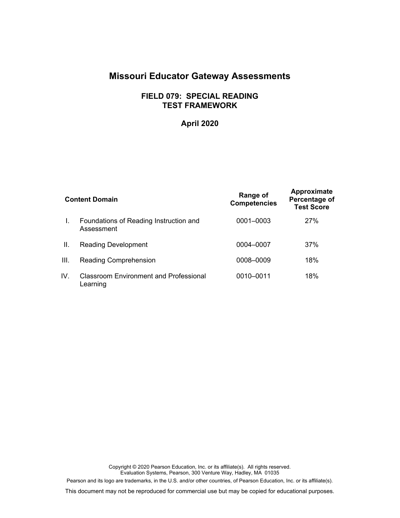# **Missouri Educator Gateway Assessments**

# **FIELD 079: SPECIAL READING TEST FRAMEWORK**

# **April 2020**

| <b>Content Domain</b> |                                                           | Range of<br><b>Competencies</b> | Approximate<br>Percentage of<br><b>Test Score</b> |
|-----------------------|-----------------------------------------------------------|---------------------------------|---------------------------------------------------|
| L.                    | Foundations of Reading Instruction and<br>Assessment      | 0001-0003                       | 27%                                               |
| II.                   | <b>Reading Development</b>                                | 0004-0007                       | 37%                                               |
| III.                  | <b>Reading Comprehension</b>                              | 0008-0009                       | 18%                                               |
| IV.                   | <b>Classroom Environment and Professional</b><br>Learning | 0010-0011                       | 18%                                               |

Copyright © 2020 Pearson Education, Inc. or its affiliate(s). All rights reserved. Evaluation Systems, Pearson, 300 Venture Way, Hadley, MA 01035 Pearson and its logo are trademarks, in the U.S. and/or other countries, of Pearson Education, Inc. or its affiliate(s).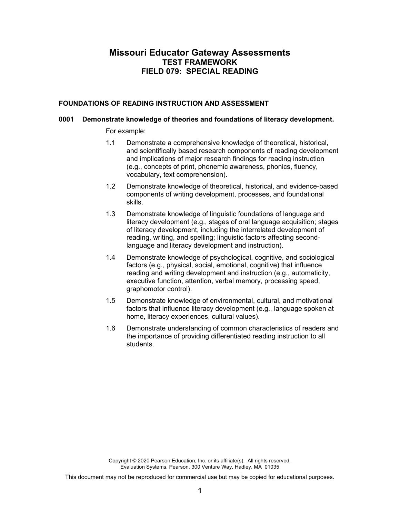# **Missouri Educator Gateway Assessments TEST FRAMEWORK FIELD 079: SPECIAL READING**

#### **FOUNDATIONS OF READING INSTRUCTION AND ASSESSMENT**

#### **0001 Demonstrate knowledge of theories and foundations of literacy development.**

For example:

- 1.1 Demonstrate a comprehensive knowledge of theoretical, historical, and scientifically based research components of reading development and implications of major research findings for reading instruction (e.g., concepts of print, phonemic awareness, phonics, fluency, vocabulary, text comprehension).
- 1.2 Demonstrate knowledge of theoretical, historical, and evidence-based components of writing development, processes, and foundational skills.
- 1.3 Demonstrate knowledge of linguistic foundations of language and literacy development (e.g., stages of oral language acquisition; stages of literacy development, including the interrelated development of reading, writing, and spelling; linguistic factors affecting secondlanguage and literacy development and instruction).
- 1.4 Demonstrate knowledge of psychological, cognitive, and sociological factors (e.g., physical, social, emotional, cognitive) that influence reading and writing development and instruction (e.g., automaticity, executive function, attention, verbal memory, processing speed, graphomotor control).
- 1.5 Demonstrate knowledge of environmental, cultural, and motivational factors that influence literacy development (e.g., language spoken at home, literacy experiences, cultural values).
- 1.6 Demonstrate understanding of common characteristics of readers and the importance of providing differentiated reading instruction to all students.

Copyright © 2020 Pearson Education, Inc. or its affiliate(s). All rights reserved. Evaluation Systems, Pearson, 300 Venture Way, Hadley, MA 01035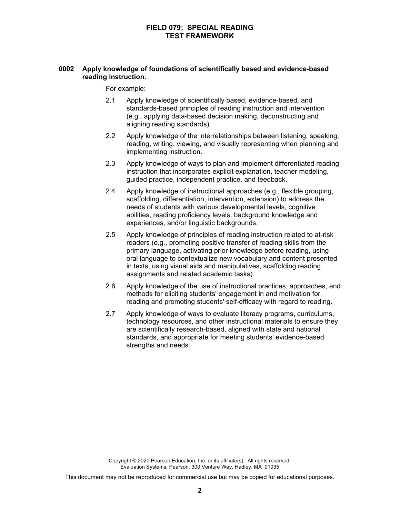# **0002 Apply knowledge of foundations of scientifically based and evidence-based reading instruction.**

For example:

- 2.1 Apply knowledge of scientifically based, evidence-based, and standards-based principles of reading instruction and intervention (e.g., applying data-based decision making, deconstructing and aligning reading standards).
- 2.2 Apply knowledge of the interrelationships between listening, speaking, reading, writing, viewing, and visually representing when planning and implementing instruction.
- 2.3 Apply knowledge of ways to plan and implement differentiated reading instruction that incorporates explicit explanation, teacher modeling, guided practice, independent practice, and feedback.
- 2.4 Apply knowledge of instructional approaches (e.g., flexible grouping, scaffolding, differentiation, intervention, extension) to address the needs of students with various developmental levels, cognitive abilities, reading proficiency levels, background knowledge and experiences, and/or linguistic backgrounds.
- 2.5 Apply knowledge of principles of reading instruction related to at-risk readers (e.g., promoting positive transfer of reading skills from the primary language, activating prior knowledge before reading, using oral language to contextualize new vocabulary and content presented in texts, using visual aids and manipulatives, scaffolding reading assignments and related academic tasks).
- 2.6 Apply knowledge of the use of instructional practices, approaches, and methods for eliciting students' engagement in and motivation for reading and promoting students' self-efficacy with regard to reading.
- 2.7 Apply knowledge of ways to evaluate literacy programs, curriculums, technology resources, and other instructional materials to ensure they are scientifically research-based, aligned with state and national standards, and appropriate for meeting students' evidence-based strengths and needs.

Copyright © 2020 Pearson Education, Inc. or its affiliate(s). All rights reserved. Evaluation Systems, Pearson, 300 Venture Way, Hadley, MA 01035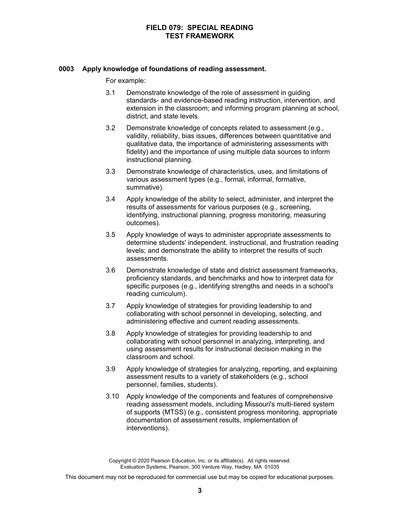#### **0003 Apply knowledge of foundations of reading assessment.**

For example:

- 3.1 Demonstrate knowledge of the role of assessment in guiding standards- and evidence-based reading instruction, intervention, and extension in the classroom; and informing program planning at school, district, and state levels.
- 3.2 Demonstrate knowledge of concepts related to assessment (e.g., validity, reliability, bias issues, differences between quantitative and qualitative data, the importance of administering assessments with fidelity) and the importance of using multiple data sources to inform instructional planning.
- 3.3 Demonstrate knowledge of characteristics, uses, and limitations of various assessment types (e.g., formal, informal, formative, summative).
- 3.4 Apply knowledge of the ability to select, administer, and interpret the results of assessments for various purposes (e.g., screening, identifying, instructional planning, progress monitoring, measuring outcomes).
- 3.5 Apply knowledge of ways to administer appropriate assessments to determine students' independent, instructional, and frustration reading levels; and demonstrate the ability to interpret the results of such assessments.
- 3.6 Demonstrate knowledge of state and district assessment frameworks, proficiency standards, and benchmarks and how to interpret data for specific purposes (e.g., identifying strengths and needs in a school's reading curriculum).
- 3.7 Apply knowledge of strategies for providing leadership to and collaborating with school personnel in developing, selecting, and administering effective and current reading assessments.
- 3.8 Apply knowledge of strategies for providing leadership to and collaborating with school personnel in analyzing, interpreting, and using assessment results for instructional decision making in the classroom and school.
- 3.9 Apply knowledge of strategies for analyzing, reporting, and explaining assessment results to a variety of stakeholders (e.g., school personnel, families, students).
- 3.10 Apply knowledge of the components and features of comprehensive reading assessment models, including Missouri's multi-tiered system of supports (MTSS) (e.g., consistent progress monitoring, appropriate documentation of assessment results, implementation of interventions).

Copyright © 2020 Pearson Education, Inc. or its affiliate(s). All rights reserved. Evaluation Systems, Pearson, 300 Venture Way, Hadley, MA 01035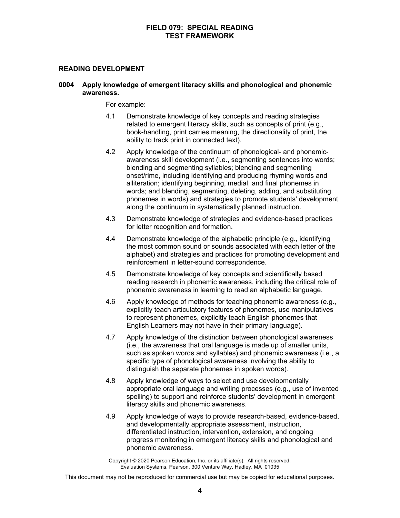#### **READING DEVELOPMENT**

#### **0004 Apply knowledge of emergent literacy skills and phonological and phonemic awareness.**

For example:

- 4.1 Demonstrate knowledge of key concepts and reading strategies related to emergent literacy skills, such as concepts of print (e.g., book-handling, print carries meaning, the directionality of print, the ability to track print in connected text).
- 4.2 Apply knowledge of the continuum of phonological- and phonemicawareness skill development (i.e., segmenting sentences into words; blending and segmenting syllables; blending and segmenting onset/rime, including identifying and producing rhyming words and alliteration; identifying beginning, medial, and final phonemes in words; and blending, segmenting, deleting, adding, and substituting phonemes in words) and strategies to promote students' development along the continuum in systematically planned instruction.
- 4.3 Demonstrate knowledge of strategies and evidence-based practices for letter recognition and formation.
- 4.4 Demonstrate knowledge of the alphabetic principle (e.g., identifying the most common sound or sounds associated with each letter of the alphabet) and strategies and practices for promoting development and reinforcement in letter-sound correspondence.
- 4.5 Demonstrate knowledge of key concepts and scientifically based reading research in phonemic awareness, including the critical role of phonemic awareness in learning to read an alphabetic language.
- 4.6 Apply knowledge of methods for teaching phonemic awareness (e.g., explicitly teach articulatory features of phonemes, use manipulatives to represent phonemes, explicitly teach English phonemes that English Learners may not have in their primary language).
- 4.7 Apply knowledge of the distinction between phonological awareness (i.e., the awareness that oral language is made up of smaller units, such as spoken words and syllables) and phonemic awareness (i.e., a specific type of phonological awareness involving the ability to distinguish the separate phonemes in spoken words).
- 4.8 Apply knowledge of ways to select and use developmentally appropriate oral language and writing processes (e.g., use of invented spelling) to support and reinforce students' development in emergent literacy skills and phonemic awareness.
- 4.9 Apply knowledge of ways to provide research-based, evidence-based, and developmentally appropriate assessment, instruction, differentiated instruction, intervention, extension, and ongoing progress monitoring in emergent literacy skills and phonological and phonemic awareness.

Copyright © 2020 Pearson Education, Inc. or its affiliate(s). All rights reserved. Evaluation Systems, Pearson, 300 Venture Way, Hadley, MA 01035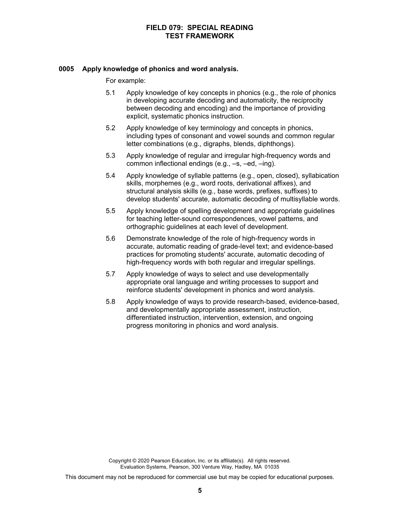#### **0005 Apply knowledge of phonics and word analysis.**

For example:

- 5.1 Apply knowledge of key concepts in phonics (e.g., the role of phonics in developing accurate decoding and automaticity, the reciprocity between decoding and encoding) and the importance of providing explicit, systematic phonics instruction.
- 5.2 Apply knowledge of key terminology and concepts in phonics, including types of consonant and vowel sounds and common regular letter combinations (e.g., digraphs, blends, diphthongs).
- 5.3 Apply knowledge of regular and irregular high-frequency words and common inflectional endings (e.g., –s, –ed, –ing).
- 5.4 Apply knowledge of syllable patterns (e.g., open, closed), syllabication skills, morphemes (e.g., word roots, derivational affixes), and structural analysis skills (e.g., base words, prefixes, suffixes) to develop students' accurate, automatic decoding of multisyllable words.
- 5.5 Apply knowledge of spelling development and appropriate guidelines for teaching letter-sound correspondences, vowel patterns, and orthographic guidelines at each level of development.
- 5.6 Demonstrate knowledge of the role of high-frequency words in accurate, automatic reading of grade-level text; and evidence-based practices for promoting students' accurate, automatic decoding of high-frequency words with both regular and irregular spellings.
- 5.7 Apply knowledge of ways to select and use developmentally appropriate oral language and writing processes to support and reinforce students' development in phonics and word analysis.
- 5.8 Apply knowledge of ways to provide research-based, evidence-based, and developmentally appropriate assessment, instruction, differentiated instruction, intervention, extension, and ongoing progress monitoring in phonics and word analysis.

Copyright © 2020 Pearson Education, Inc. or its affiliate(s). All rights reserved. Evaluation Systems, Pearson, 300 Venture Way, Hadley, MA 01035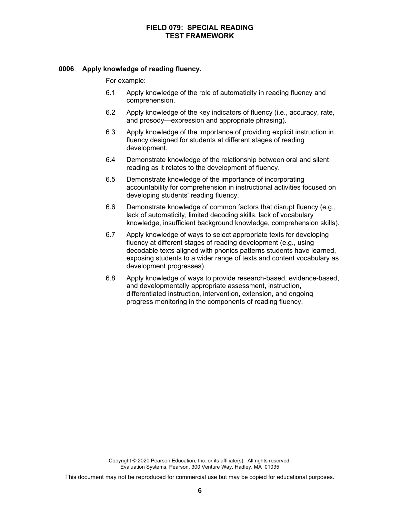#### **0006 Apply knowledge of reading fluency.**

For example:

- 6.1 Apply knowledge of the role of automaticity in reading fluency and comprehension.
- 6.2 Apply knowledge of the key indicators of fluency (i.e., accuracy, rate, and prosody—expression and appropriate phrasing).
- 6.3 Apply knowledge of the importance of providing explicit instruction in fluency designed for students at different stages of reading development.
- 6.4 Demonstrate knowledge of the relationship between oral and silent reading as it relates to the development of fluency.
- 6.5 Demonstrate knowledge of the importance of incorporating accountability for comprehension in instructional activities focused on developing students' reading fluency.
- 6.6 Demonstrate knowledge of common factors that disrupt fluency (e.g., lack of automaticity, limited decoding skills, lack of vocabulary knowledge, insufficient background knowledge, comprehension skills).
- 6.7 Apply knowledge of ways to select appropriate texts for developing fluency at different stages of reading development (e.g., using decodable texts aligned with phonics patterns students have learned, exposing students to a wider range of texts and content vocabulary as development progresses).
- 6.8 Apply knowledge of ways to provide research-based, evidence-based, and developmentally appropriate assessment, instruction, differentiated instruction, intervention, extension, and ongoing progress monitoring in the components of reading fluency.

Copyright © 2020 Pearson Education, Inc. or its affiliate(s). All rights reserved. Evaluation Systems, Pearson, 300 Venture Way, Hadley, MA 01035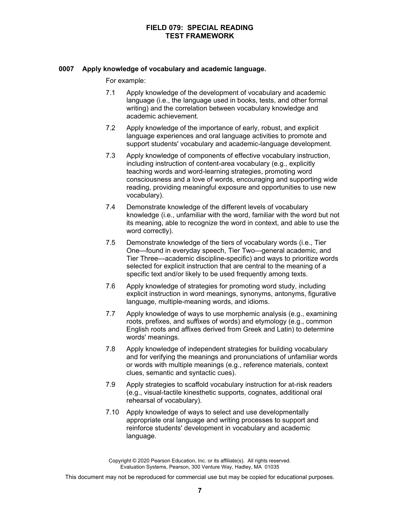### **0007 Apply knowledge of vocabulary and academic language.**

For example:

- 7.1 Apply knowledge of the development of vocabulary and academic language (i.e., the language used in books, tests, and other formal writing) and the correlation between vocabulary knowledge and academic achievement.
- 7.2 Apply knowledge of the importance of early, robust, and explicit language experiences and oral language activities to promote and support students' vocabulary and academic-language development.
- 7.3 Apply knowledge of components of effective vocabulary instruction, including instruction of content-area vocabulary (e.g., explicitly teaching words and word-learning strategies, promoting word consciousness and a love of words, encouraging and supporting wide reading, providing meaningful exposure and opportunities to use new vocabulary).
- 7.4 Demonstrate knowledge of the different levels of vocabulary knowledge (i.e., unfamiliar with the word, familiar with the word but not its meaning, able to recognize the word in context, and able to use the word correctly).
- 7.5 Demonstrate knowledge of the tiers of vocabulary words (i.e., Tier One—found in everyday speech, Tier Two—general academic, and Tier Three—academic discipline-specific) and ways to prioritize words selected for explicit instruction that are central to the meaning of a specific text and/or likely to be used frequently among texts.
- 7.6 Apply knowledge of strategies for promoting word study, including explicit instruction in word meanings, synonyms, antonyms, figurative language, multiple-meaning words, and idioms.
- 7.7 Apply knowledge of ways to use morphemic analysis (e.g., examining roots, prefixes, and suffixes of words) and etymology (e.g., common English roots and affixes derived from Greek and Latin) to determine words' meanings.
- 7.8 Apply knowledge of independent strategies for building vocabulary and for verifying the meanings and pronunciations of unfamiliar words or words with multiple meanings (e.g., reference materials, context clues, semantic and syntactic cues).
- 7.9 Apply strategies to scaffold vocabulary instruction for at-risk readers (e.g., visual-tactile kinesthetic supports, cognates, additional oral rehearsal of vocabulary).
- 7.10 Apply knowledge of ways to select and use developmentally appropriate oral language and writing processes to support and reinforce students' development in vocabulary and academic language.

Copyright © 2020 Pearson Education, Inc. or its affiliate(s). All rights reserved. Evaluation Systems, Pearson, 300 Venture Way, Hadley, MA 01035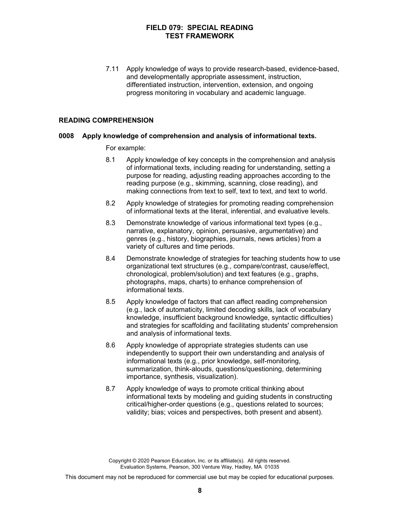7.11 Apply knowledge of ways to provide research-based, evidence-based, and developmentally appropriate assessment, instruction, differentiated instruction, intervention, extension, and ongoing progress monitoring in vocabulary and academic language.

#### **READING COMPREHENSION**

#### **0008 Apply knowledge of comprehension and analysis of informational texts.**

For example:

- 8.1 Apply knowledge of key concepts in the comprehension and analysis of informational texts, including reading for understanding, setting a purpose for reading, adjusting reading approaches according to the reading purpose (e.g., skimming, scanning, close reading), and making connections from text to self, text to text, and text to world.
- 8.2 Apply knowledge of strategies for promoting reading comprehension of informational texts at the literal, inferential, and evaluative levels.
- 8.3 Demonstrate knowledge of various informational text types (e.g., narrative, explanatory, opinion, persuasive, argumentative) and genres (e.g., history, biographies, journals, news articles) from a variety of cultures and time periods.
- 8.4 Demonstrate knowledge of strategies for teaching students how to use organizational text structures (e.g., compare/contrast, cause/effect, chronological, problem/solution) and text features (e.g., graphs, photographs, maps, charts) to enhance comprehension of informational texts.
- 8.5 Apply knowledge of factors that can affect reading comprehension (e.g., lack of automaticity, limited decoding skills, lack of vocabulary knowledge, insufficient background knowledge, syntactic difficulties) and strategies for scaffolding and facilitating students' comprehension and analysis of informational texts.
- 8.6 Apply knowledge of appropriate strategies students can use independently to support their own understanding and analysis of informational texts (e.g., prior knowledge, self-monitoring, summarization, think-alouds, questions/questioning, determining importance, synthesis, visualization).
- 8.7 Apply knowledge of ways to promote critical thinking about informational texts by modeling and guiding students in constructing critical/higher-order questions (e.g., questions related to sources; validity; bias; voices and perspectives, both present and absent).

Copyright © 2020 Pearson Education, Inc. or its affiliate(s). All rights reserved. Evaluation Systems, Pearson, 300 Venture Way, Hadley, MA 01035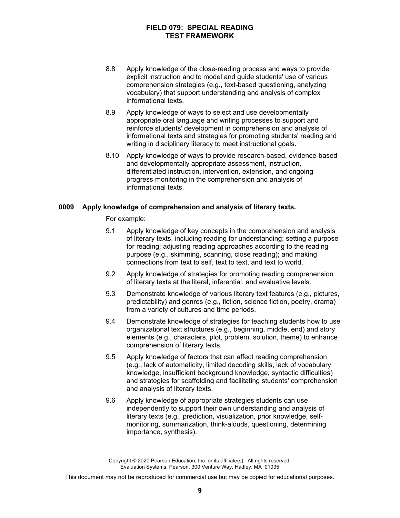- 8.8 Apply knowledge of the close-reading process and ways to provide explicit instruction and to model and guide students' use of various comprehension strategies (e.g., text-based questioning, analyzing vocabulary) that support understanding and analysis of complex informational texts.
- 8.9 Apply knowledge of ways to select and use developmentally appropriate oral language and writing processes to support and reinforce students' development in comprehension and analysis of informational texts and strategies for promoting students' reading and writing in disciplinary literacy to meet instructional goals.
- 8.10 Apply knowledge of ways to provide research-based, evidence-based and developmentally appropriate assessment, instruction, differentiated instruction, intervention, extension, and ongoing progress monitoring in the comprehension and analysis of informational texts.

#### **0009 Apply knowledge of comprehension and analysis of literary texts.**

For example:

- 9.1 Apply knowledge of key concepts in the comprehension and analysis of literary texts, including reading for understanding; setting a purpose for reading; adjusting reading approaches according to the reading purpose (e.g., skimming, scanning, close reading); and making connections from text to self, text to text, and text to world.
- 9.2 Apply knowledge of strategies for promoting reading comprehension of literary texts at the literal, inferential, and evaluative levels.
- 9.3 Demonstrate knowledge of various literary text features (e.g., pictures, predictability) and genres (e.g., fiction, science fiction, poetry, drama) from a variety of cultures and time periods.
- 9.4 Demonstrate knowledge of strategies for teaching students how to use organizational text structures (e.g., beginning, middle, end) and story elements (e.g., characters, plot, problem, solution, theme) to enhance comprehension of literary texts.
- 9.5 Apply knowledge of factors that can affect reading comprehension (e.g., lack of automaticity, limited decoding skills, lack of vocabulary knowledge, insufficient background knowledge, syntactic difficulties) and strategies for scaffolding and facilitating students' comprehension and analysis of literary texts.
- 9.6 Apply knowledge of appropriate strategies students can use independently to support their own understanding and analysis of literary texts (e.g., prediction, visualization, prior knowledge, selfmonitoring, summarization, think-alouds, questioning, determining importance, synthesis).

Copyright © 2020 Pearson Education, Inc. or its affiliate(s). All rights reserved. Evaluation Systems, Pearson, 300 Venture Way, Hadley, MA 01035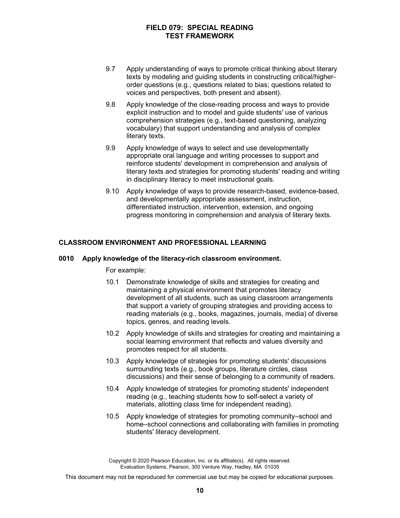- 9.7 Apply understanding of ways to promote critical thinking about literary texts by modeling and guiding students in constructing critical/higherorder questions (e.g., questions related to bias; questions related to voices and perspectives, both present and absent).
- 9.8 Apply knowledge of the close-reading process and ways to provide explicit instruction and to model and guide students' use of various comprehension strategies (e.g., text-based questioning, analyzing vocabulary) that support understanding and analysis of complex literary texts.
- 9.9 Apply knowledge of ways to select and use developmentally appropriate oral language and writing processes to support and reinforce students' development in comprehension and analysis of literary texts and strategies for promoting students' reading and writing in disciplinary literacy to meet instructional goals.
- 9.10 Apply knowledge of ways to provide research-based, evidence-based, and developmentally appropriate assessment, instruction, differentiated instruction, intervention, extension, and ongoing progress monitoring in comprehension and analysis of literary texts.

# **CLASSROOM ENVIRONMENT AND PROFESSIONAL LEARNING**

#### **0010 Apply knowledge of the literacy-rich classroom environment.**

For example:

- 10.1 Demonstrate knowledge of skills and strategies for creating and maintaining a physical environment that promotes literacy development of all students, such as using classroom arrangements that support a variety of grouping strategies and providing access to reading materials (e.g., books, magazines, journals, media) of diverse topics, genres, and reading levels.
- 10.2 Apply knowledge of skills and strategies for creating and maintaining a social learning environment that reflects and values diversity and promotes respect for all students.
- 10.3 Apply knowledge of strategies for promoting students' discussions surrounding texts (e.g., book groups, literature circles, class discussions) and their sense of belonging to a community of readers.
- 10.4 Apply knowledge of strategies for promoting students' independent reading (e.g., teaching students how to self-select a variety of materials, allotting class time for independent reading).
- 10.5 Apply knowledge of strategies for promoting community–school and home–school connections and collaborating with families in promoting students' literacy development.

Copyright © 2020 Pearson Education, Inc. or its affiliate(s). All rights reserved. Evaluation Systems, Pearson, 300 Venture Way, Hadley, MA 01035